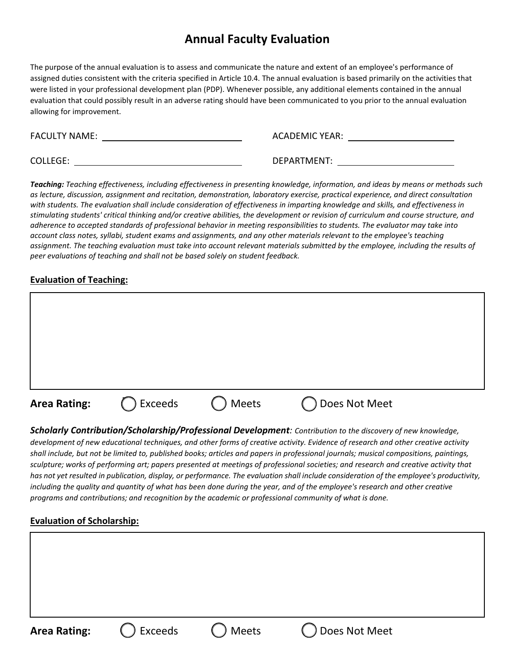# **Annual Faculty Evaluation**

The purpose of the annual evaluation is to assess and communicate the nature and extent of an employee's performance of assigned duties consistent with the criteria specified in Article 10.4. The annual evaluation is based primarily on the activities that were listed in your professional development plan (PDP). Whenever possible, any additional elements contained in the annual evaluation that could possibly result in an adverse rating should have been communicated to you prior to the annual evaluation allowing for improvement.

FACULTY NAME: THE STATE OF STATE ACADEMIC YEAR:

COLLEGE: DEPARTMENT:

*Teaching: Teaching effectiveness, including effectiveness in presenting knowledge, information, and ideas by means or methods such as lecture, discussion, assignment and recitation, demonstration, laboratory exercise, practical experience, and direct consultation with students. The evaluation shall include consideration of effectiveness in imparting knowledge and skills, and effectiveness in* stimulating students' critical thinking and/or creative abilities, the development or revision of curriculum and course structure, and *adherence to accepted standards of professional behavior in meeting responsibilities to students. The evaluator may take into account class notes, syllabi, student exams and assignments, and any other materials relevant to the employee's teaching assignment. The teaching evaluation must take into account relevant materials submitted by the employee, including the results of peer evaluations of teaching and shall not be based solely on student feedback.*

## **Evaluation of Teaching:**

| <b>Area Rating:</b> | Exceeds | Meets | Does Not Meet |  |
|---------------------|---------|-------|---------------|--|
|                     |         |       |               |  |
|                     |         |       |               |  |
|                     |         |       |               |  |

*Scholarly Contribution/Scholarship/Professional Development: Contribution to the discovery of new knowledge, development of new educational techniques, and other forms of creative activity. Evidence of research and other creative activity shall include, but not be limited to, published books; articles and papers in professional journals; musical compositions, paintings,* sculpture; works of performing art; papers presented at meetings of professional societies; and research and creative activity that has not yet resulted in publication, display, or performance. The evaluation shall include consideration of the employee's productivity, *including the quality and quantity of what has been done during the year, and of the employee's research and other creative programs and contributions; and recognition by the academic or professional community of what is done.*

## **Evaluation of Scholarship:**

**Area Rating:**  $\qquad \qquad \qquad \qquad \qquad$  **Exceeds**  $\qquad \qquad \qquad \qquad \qquad \qquad$  **Does Not Meet**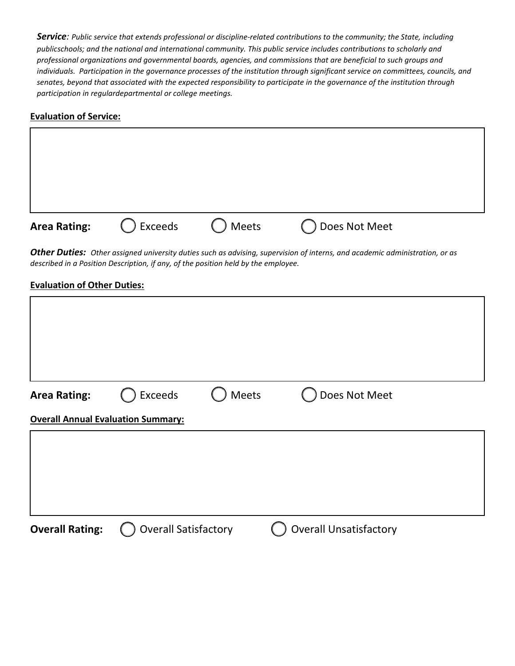*Service: Public service that extends professional or discipline-related contributions to the community; the State, including publicschools; and the national and international community. This public service includes contributions to scholarly and professional organizations and governmental boards, agencies, and commissions that are beneficial to such groups and individuals. Participation in the governance processes of the institution through significant service on committees, councils, and senates, beyond that associated with the expected responsibility to participate in the governance of the institution through participation in regulardepartmental or college meetings.*

### **Evaluation of Service:**

| <b>Area Rating:</b> | Exceeds | $\bigcup$ Meets | ◯ Does Not Meet |  |
|---------------------|---------|-----------------|-----------------|--|

*Other Duties: Other assigned university duties such as advising, supervision of interns, and academic administration, or as described in a Position Description, if any, of the position held by the employee.*

#### **Evaluation of Other Duties:**

| <b>Area Rating:</b>                       | Exceeds                     | Meets | Does Not Meet                 |  |
|-------------------------------------------|-----------------------------|-------|-------------------------------|--|
| <b>Overall Annual Evaluation Summary:</b> |                             |       |                               |  |
|                                           |                             |       |                               |  |
|                                           |                             |       |                               |  |
|                                           |                             |       |                               |  |
|                                           |                             |       |                               |  |
| <b>Overall Rating:</b>                    | <b>Overall Satisfactory</b> |       | <b>Overall Unsatisfactory</b> |  |